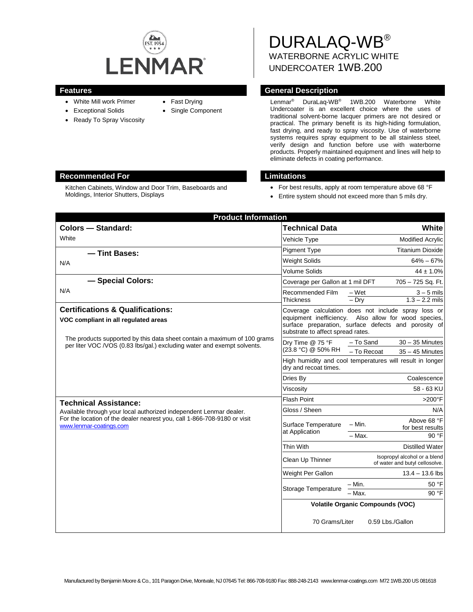

- White Mill work Primer
- Exceptional Solids
- Ready To Spray Viscosity
- Fast Drying
- Single Component

DURALAQ-WB® WATERBORNE ACRYLIC WHITE UNDERCOATER 1WB.200

## **Features General Description**

Lenmar® DuraLaq-WB® 1WB.200 Waterborne White Undercoater is an excellent choice where the uses of traditional solvent-borne lacquer primers are not desired or practical. The primary benefit is its high-hiding formulation, fast drying, and ready to spray viscosity. Use of waterborne systems requires spray equipment to be all stainless steel, verify design and function before use with waterborne products. Properly maintained equipment and lines will help to eliminate defects in coating performance.

## **Recommended For Limitations**

Kitchen Cabinets, Window and Door Trim, Baseboards and Moldings, Interior Shutters, Displays

- For best results, apply at room temperature above 68 °F
- Entire system should not exceed more than 5 mils dry.

| <b>Product Information</b>                                                                                                                                                                                |                                                                                                                                                                                                             |                                                                    |
|-----------------------------------------------------------------------------------------------------------------------------------------------------------------------------------------------------------|-------------------------------------------------------------------------------------------------------------------------------------------------------------------------------------------------------------|--------------------------------------------------------------------|
| <b>Colors - Standard:</b>                                                                                                                                                                                 | <b>Technical Data</b>                                                                                                                                                                                       | <b>White</b>                                                       |
| White                                                                                                                                                                                                     | Vehicle Type                                                                                                                                                                                                | <b>Modified Acrylic</b>                                            |
| - Tint Bases:                                                                                                                                                                                             | <b>Pigment Type</b>                                                                                                                                                                                         | <b>Titanium Dioxide</b>                                            |
| N/A                                                                                                                                                                                                       | <b>Weight Solids</b>                                                                                                                                                                                        | $64\% - 67\%$                                                      |
|                                                                                                                                                                                                           | <b>Volume Solids</b>                                                                                                                                                                                        | $44 \pm 1.0\%$                                                     |
| - Special Colors:<br>N/A                                                                                                                                                                                  | Coverage per Gallon at 1 mil DFT                                                                                                                                                                            | 705 - 725 Sq. Ft.                                                  |
|                                                                                                                                                                                                           | Recommended Film<br><b>Thickness</b>                                                                                                                                                                        | – Wet<br>$3 - 5$ mils<br>$1.3 - 2.2$ mils<br>$-$ Dry               |
| <b>Certifications &amp; Qualifications:</b><br>VOC compliant in all regulated areas                                                                                                                       | Coverage calculation does not include spray loss or<br>equipment inefficiency.<br>Also allow for wood species,<br>surface preparation, surface defects and porosity of<br>substrate to affect spread rates. |                                                                    |
| The products supported by this data sheet contain a maximum of 100 grams<br>per liter VOC /VOS (0.83 lbs/gal.) excluding water and exempt solvents.                                                       | Dry Time @ 75 °F<br>(23.8 °C) @ 50% RH                                                                                                                                                                      | $30 - 35$ Minutes<br>- To Sand<br>- To Recoat<br>$35 - 45$ Minutes |
|                                                                                                                                                                                                           | dry and recoat times.                                                                                                                                                                                       | High humidity and cool temperatures will result in longer          |
|                                                                                                                                                                                                           | Dries By                                                                                                                                                                                                    | Coalescence                                                        |
|                                                                                                                                                                                                           | Viscosity                                                                                                                                                                                                   | 58 - 63 KU                                                         |
| <b>Technical Assistance:</b><br>Available through your local authorized independent Lenmar dealer.<br>For the location of the dealer nearest you, call 1-866-708-9180 or visit<br>www.lenmar-coatings.com | <b>Flash Point</b>                                                                                                                                                                                          | $>200^\circ F$                                                     |
|                                                                                                                                                                                                           | Gloss / Sheen                                                                                                                                                                                               | N/A                                                                |
|                                                                                                                                                                                                           | Surface Temperature<br>at Application                                                                                                                                                                       | Above 68 °F<br>– Min.<br>for best results<br>$-$ Max.<br>90 °F     |
|                                                                                                                                                                                                           | Thin With                                                                                                                                                                                                   |                                                                    |
|                                                                                                                                                                                                           |                                                                                                                                                                                                             | <b>Distilled Water</b><br>Isopropyl alcohol or a blend             |
|                                                                                                                                                                                                           | Clean Up Thinner                                                                                                                                                                                            | of water and butyl cellosolve.                                     |
|                                                                                                                                                                                                           | Weight Per Gallon                                                                                                                                                                                           | $13.4 - 13.6$ lbs                                                  |
|                                                                                                                                                                                                           | Storage Temperature                                                                                                                                                                                         | 50 °F<br>– Min.                                                    |
|                                                                                                                                                                                                           |                                                                                                                                                                                                             | 90 °F<br>- Max.                                                    |
|                                                                                                                                                                                                           | <b>Volatile Organic Compounds (VOC)</b>                                                                                                                                                                     |                                                                    |
|                                                                                                                                                                                                           | 70 Grams/Liter                                                                                                                                                                                              | 0.59 Lbs./Gallon                                                   |